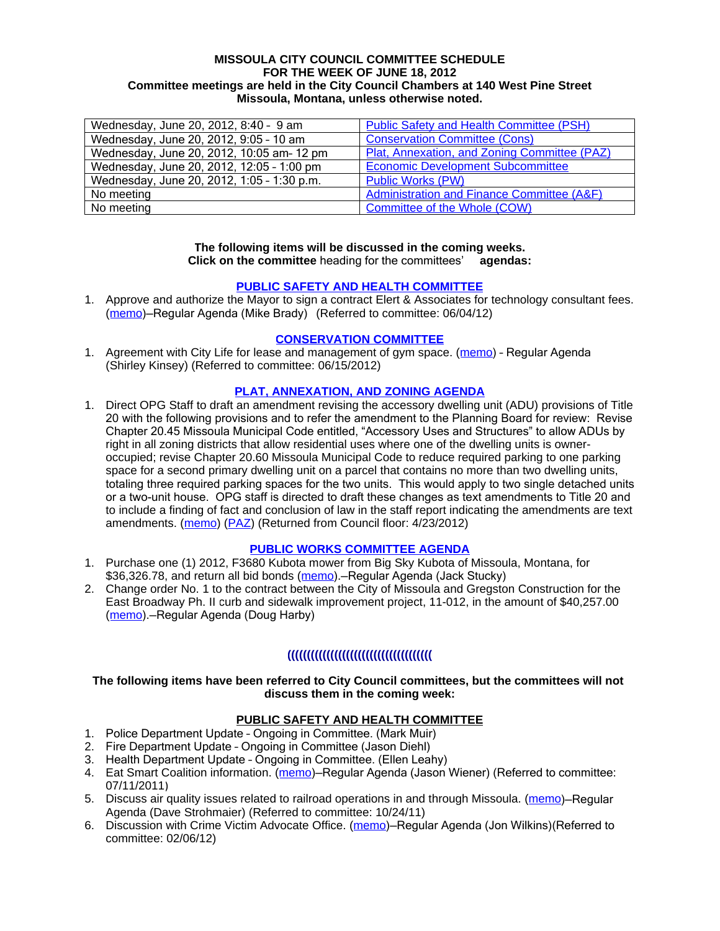#### **MISSOULA CITY COUNCIL COMMITTEE SCHEDULE FOR THE WEEK OF JUNE 18, 2012 Committee meetings are held in the City Council Chambers at 140 West Pine Street Missoula, Montana, unless otherwise noted.**

| Wednesday, June 20, 2012, 8:40 - 9 am      | <b>Public Safety and Health Committee (PSH)</b>       |
|--------------------------------------------|-------------------------------------------------------|
| Wednesday, June 20, 2012, 9:05 - 10 am     | <b>Conservation Committee (Cons)</b>                  |
| Wednesday, June 20, 2012, 10:05 am- 12 pm  | Plat, Annexation, and Zoning Committee (PAZ)          |
| Wednesday, June 20, 2012, 12:05 - 1:00 pm  | <b>Economic Development Subcommittee</b>              |
| Wednesday, June 20, 2012, 1:05 - 1:30 p.m. | <b>Public Works (PW)</b>                              |
| No meeting                                 | <b>Administration and Finance Committee (A&amp;F)</b> |
| No meeting                                 | Committee of the Whole (COW)                          |

#### **The following items will be discussed in the coming weeks. Click on the committee** heading for the committees' **agendas:**

#### **[PUBLIC SAFETY AND HEALTH COMMITTEE](http://www.ci.missoula.mt.us/DocumentCenterii.aspx?FID=836)**

1. Approve and authorize the Mayor to sign a contract Elert & Associates for technology consultant fees. [\(memo](http://www.ci.missoula.mt.us/DocumentCenter/Home/View/19820))—Regular Agenda (Mike Brady) (Referred to committee: 06/04/12)

#### **[CONSERVATION COMMITTEE](http://www.ci.missoula.mt.us/DocumentCenterii.aspx?FID=832)**

1. Agreement with City Life for lease and management of gym space. [\(memo](http://www.ci.missoula.mt.us/DocumentCenter/Home/View/20162)) - Regular Agenda (Shirley Kinsey) (Referred to committee: 06/15/2012)

## **[PLAT, ANNEXATION, AND ZONING AGENDA](http://www.ci.missoula.mt.us/DocumentCenterii.aspx?FID=831)**

1. Direct OPG Staff to draft an amendment revising the accessory dwelling unit (ADU) provisions of Title 20 with the following provisions and to refer the amendment to the Planning Board for review: Revise Chapter 20.45 Missoula Municipal Code entitled, "Accessory Uses and Structures" to allow ADUs by right in all zoning districts that allow residential uses where one of the dwelling units is owneroccupied; revise Chapter 20.60 Missoula Municipal Code to reduce required parking to one parking space for a second primary dwelling unit on a parcel that contains no more than two dwelling units, totaling three required parking spaces for the two units. This would apply to two single detached units or a two-unit house. OPG staff is directed to draft these changes as text amendments to Title 20 and to include a finding of fact and conclusion of law in the staff report indicating the amendments are text amendments. ([memo](http://www.ci.missoula.mt.us/DocumentView.aspx?DID=8421)) ([PAZ](http://www.ci.missoula.mt.us/Archive.aspx?ADID=5370)) (Returned from Council floor: 4/23/2012)

#### **[PUBLIC WORKS COMMITTEE AGENDA](http://www.ci.missoula.mt.us/DocumentCenterii.aspx?FID=833)**

- 1. Purchase one (1) 2012, F3680 Kubota mower from Big Sky Kubota of Missoula, Montana, for \$36,326.78, and return all bid bonds [\(memo](http://www.ci.missoula.mt.us/DocumentCenter/Home/View/20180)). - Regular Agenda (Jack Stucky)
- 2. Change order No. 1 to the contract between the City of Missoula and Gregston Construction for the East Broadway Ph. II curb and sidewalk improvement project, 11-012, in the amount of \$40,257.00 [\(memo](http://www.ci.missoula.mt.us/DocumentCenter/Home/View/20184)).—Regular Agenda (Doug Harby)

# **(((((((((((((((((((((((((((((((((((((**

#### **The following items have been referred to City Council committees, but the committees will not discuss them in the coming week:**

#### **PUBLIC SAFETY AND HEALTH COMMITTEE**

- 1. Police Department Update Ongoing in Committee. (Mark Muir)
- 2. Fire Department Update Ongoing in Committee (Jason Diehl)
- 3. Health Department Update Ongoing in Committee. (Ellen Leahy)
- 4. Eat Smart Coalition information. [\(memo](http://www.ci.missoula.mt.us/DocumentView.aspx?DID=6776))—Regular Agenda (Jason Wiener) (Referred to committee: 07/11/2011)
- 5. Discuss air quality issues related to railroad operations in and through Missoula. ([memo](http://www.ci.missoula.mt.us/DocumentView.aspx?DID=7495))–Regular Agenda (Dave Strohmaier) (Referred to committee: 10/24/11)
- 6. Discussion with Crime Victim Advocate Office. ([memo](http://www.ci.missoula.mt.us/DocumentView.aspx?DID=8109))—Regular Agenda (Jon Wilkins)(Referred to committee: 02/06/12)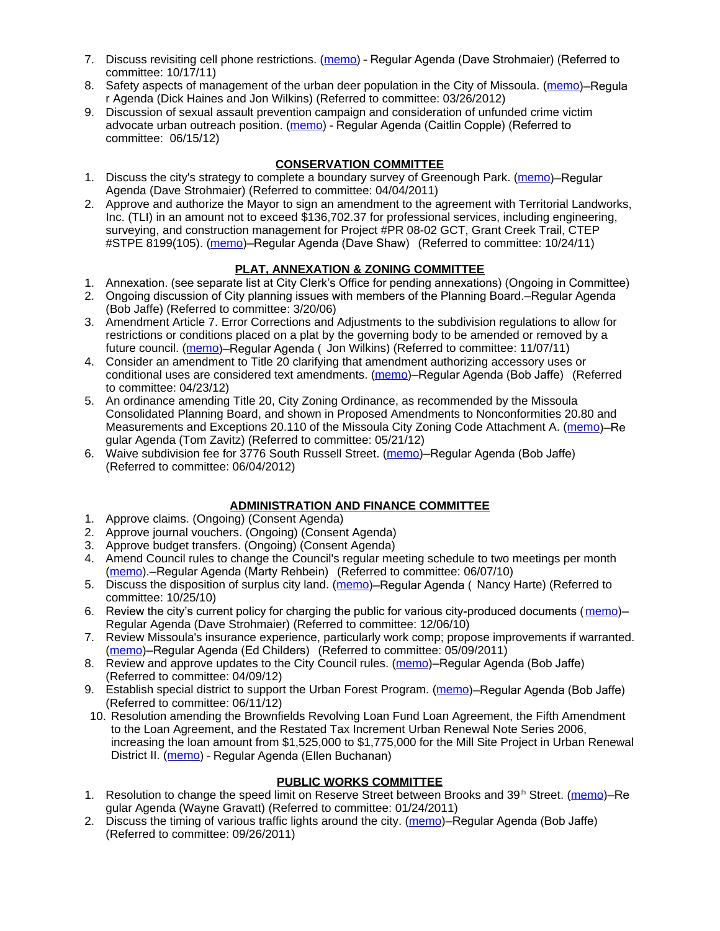- 7. Discuss revisiting cell phone restrictions. ([memo](http://www.ci.missoula.mt.us/DocumentView.aspx?DID=7420)) Regular Agenda (Dave Strohmaier) (Referred to committee: 10/17/11)
- 8. Safety aspects of management of the urban deer population in the City of Missoula. [\(memo](http://www.ci.missoula.mt.us/DocumentView.aspx?DID=8528))–Regula r Agenda (Dick Haines and Jon Wilkins) (Referred to committee: 03/26/2012)
- 9. Discussion of sexual assault prevention campaign and consideration of unfunded crime victim advocate urban outreach position. ([memo](http://www.ci.missoula.mt.us/DocumentCenter/Home/View/20189)) - Regular Agenda (Caitlin Copple) (Referred to committee: 06/15/12)

# **CONSERVATION COMMITTEE**

- 1. Discuss the city's strategy to complete a boundary survey of Greenough Park. [\(memo](http://www.ci.missoula.mt.us/DocumentView.aspx?DID=5875))—Regular Agenda (Dave Strohmaier) (Referred to committee: 04/04/2011)
- 2. Approve and authorize the Mayor to sign an amendment to the agreement with Territorial Landworks, Inc. (TLI) in an amount not to exceed \$136,702.37 for professional services, including engineering, surveying, and construction management for Project #PR 08-02 GCT, Grant Creek Trail, CTEP #STPE 8199(105). ([memo](http://www.ci.missoula.mt.us/DocumentView.aspx?DID=7494))–Regular Agenda (Dave Shaw) (Referred to committee: 10/24/11)

# **PLAT, ANNEXATION & ZONING COMMITTEE**

- 1. Annexation. (see separate list at City Clerk's Office for pending annexations) (Ongoing in Committee)
- 2. Ongoing discussion of City planning issues with members of the Planning Board.—Regular Agenda (Bob Jaffe) (Referred to committee: 3/20/06)
- 3. Amendment Article 7. Error Corrections and Adjustments to the subdivision regulations to allow for restrictions or conditions placed on a plat by the governing body to be amended or removed by a future council. [\(memo](http://www.ci.missoula.mt.us/DocumentView.aspx?DID=7568))–Regular Agenda ( Jon Wilkins) (Referred to committee: 11/07/11)
- 4. Consider an amendment to Title 20 clarifying that amendment authorizing accessory uses or conditional uses are considered text amendments. [\(memo](http://www.ci.missoula.mt.us/DocumentCenter/Home/View/19059))–Regular Agenda (Bob Jaffe) (Referred to committee: 04/23/12)
- 5. An ordinance amending Title 20, City Zoning Ordinance, as recommended by the Missoula Consolidated Planning Board, and shown in Proposed Amendments to Nonconformities 20.80 and Measurements and Exceptions 20.110 of the Missoula City Zoning Code Attachment A. [\(memo](http://www.ci.missoula.mt.us/DocumentCenter/Home/View/19667))-Re gular Agenda (Tom Zavitz) (Referred to committee: 05/21/12)
- 6. Waive subdivision fee for 3776 South Russell Street. [\(memo](http://www.ci.missoula.mt.us/DocumentCenter/Home/View/19827))—Regular Agenda (Bob Jaffe) (Referred to committee: 06/04/2012)

#### **ADMINISTRATION AND FINANCE COMMITTEE**

- 1. Approve claims. (Ongoing) (Consent Agenda)
- 2. Approve journal vouchers. (Ongoing) (Consent Agenda)
- 3. Approve budget transfers. (Ongoing) (Consent Agenda)
- 4. Amend Council rules to change the Council's regular meeting schedule to two meetings per month [\(memo](http://www.ci.missoula.mt.us/DocumentView.aspx?DID=4027)).—Regular Agenda (Marty Rehbein) (Referred to committee: 06/07/10)
- 5. Discuss the disposition of surplus city land. [\(memo](http://www.ci.missoula.mt.us/DocumentView.aspx?DID=4862))–Regular Agenda (Nancy Harte) (Referred to committee: 10/25/10)
- 6. Review the city's current policy for charging the public for various city-produced documents ([memo](http://www.ci.missoula.mt.us/DocumentView.aspx?DID=5143))— Regular Agenda (Dave Strohmaier) (Referred to committee: 12/06/10)
- 7. Review Missoula's insurance experience, particularly work comp; propose improvements if warranted. [\(memo](http://www.ci.missoula.mt.us/DocumentView.aspx?DID=6381))—Regular Agenda (Ed Childers) (Referred to committee: 05/09/2011)
- 8. Review and approve updates to the City Council rules. ([memo](http://www.ci.missoula.mt.us/DocumentCenter/Home/View/18722))—Regular Agenda (Bob Jaffe) (Referred to committee: 04/09/12)
- 9. Establish special district to support the Urban Forest Program. [\(memo](http://www.ci.missoula.mt.us/DocumentCenter/Home/View/20055))–Regular Agenda (Bob Jaffe) (Referred to committee: 06/11/12)
- 10. Resolution amending the Brownfields Revolving Loan Fund Loan Agreement, the Fifth Amendment to the Loan Agreement, and the Restated Tax Increment Urban Renewal Note Series 2006, increasing the loan amount from \$1,525,000 to \$1,775,000 for the Mill Site Project in Urban Renewal District II. [\(memo](http://www.ci.missoula.mt.us/DocumentCenter/Home/View/20187)) - Regular Agenda (Ellen Buchanan)

# **PUBLIC WORKS COMMITTEE**

- 1. Resolution to change the speed limit on Reserve Street between Brooks and 39<sup>th</sup> Street. ([memo](http://www.ci.missoula.mt.us/DocumentView.aspx?DID=5418))–Re gular Agenda (Wayne Gravatt) (Referred to committee: 01/24/2011)
- 2. Discuss the timing of various traffic lights around the city. ([memo](http://www.ci.missoula.mt.us/DocumentView.aspx?DID=7322))–Regular Agenda (Bob Jaffe) (Referred to committee: 09/26/2011)